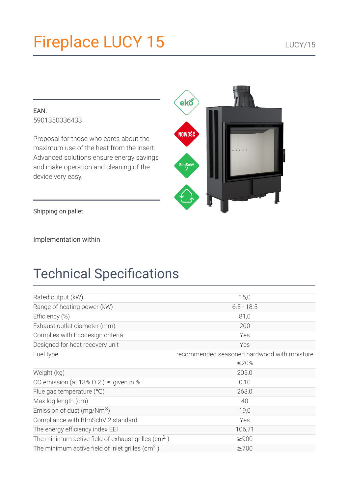# **Fireplace LUCY 15**

#### EAN: 5901350036433

Proposal for those who cares about the maximum use of the heat from the insert. Advanced solutions ensure energy savings and make operation and cleaning of the device very easy.



Shipping on pallet

Implementation within

# **Technical Specifications**

| Rated output (kW)                                             | 15,0                                        |  |
|---------------------------------------------------------------|---------------------------------------------|--|
| Range of heating power (kW)                                   | $6.5 - 18.5$                                |  |
| Efficiency (%)                                                | 81,0                                        |  |
| Exhaust outlet diameter (mm)                                  | 200                                         |  |
| Complies with Ecodesign criteria                              | Yes                                         |  |
| Designed for heat recovery unit                               | Yes                                         |  |
| Fuel type                                                     | recommended seasoned hardwood with moisture |  |
|                                                               | ≤20%                                        |  |
| Weight (kg)                                                   | 205,0                                       |  |
| CO emission (at 13% O 2) $\leq$ given in %                    | 0,10                                        |  |
| Flue gas temperature $(°C)$                                   | 263,0                                       |  |
| Max log length (cm)                                           | 40                                          |  |
| Emission of dust (mg/Nm <sup>3</sup> )                        | 19,0                                        |  |
| Compliance with BImSchV 2 standard                            | Yes                                         |  |
| The energy efficiency index EEI                               | 106,71                                      |  |
| The minimum active field of exhaust grilles ( $\text{cm}^2$ ) | $\geq 900$                                  |  |
| The minimum active field of inlet grilles ( $\text{cm}^2$ )   | $\geq 700$                                  |  |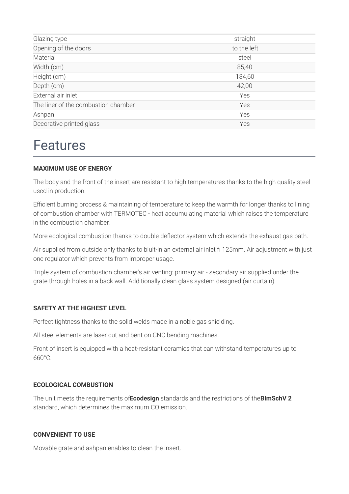| Glazing type                        | straight    |
|-------------------------------------|-------------|
| Opening of the doors                | to the left |
| Material                            | steel       |
| Width (cm)                          | 85,40       |
| Height (cm)                         | 134,60      |
| Depth (cm)                          | 42,00       |
| External air inlet                  | Yes         |
| The liner of the combustion chamber | Yes         |
| Ashpan                              | Yes         |
| Decorative printed glass            | Yes         |
|                                     |             |

## **Features**

#### **MAXIMUM USE OF ENERGY**

The body and the front of the insert are resistant to high temperatures thanks to the high quality steel used in production.

Efficient burning process & maintaining of temperature to keep the warmth for longer thanks to lining of combustion chamber with TERMOTEC - heat accumulating material which raises the temperature in the combustion chamber

More ecological combustion thanks to double deflector system which extends the exhaust gas path.

Air supplied from outside only thanks to biult-in an external air inlet fi 125mm. Air adjustment with just one regulator which prevents from improper usage.

Triple system of combustion chamber's air venting: primary air - secondary air supplied under the grate through holes in a back wall. Additionally clean glass system designed (air curtain).

#### **SAFETY AT THE HIGHEST LEVEL**

Perfect tightness thanks to the solid welds made in a noble gas shielding.

All steel elements are laser cut and bent on CNC bending machines.

Front of insert is equipped with a heat-resistant ceramics that can withstand temperatures up to  $660^{\circ}$ C

#### **ECOLOGICAL COMBUSTION**

The unit meets the requirements of Ecodesign standards and the restrictions of the BImSchV 2 standard, which determines the maximum CO emission.

#### **CONVENIENT TO USE**

Movable grate and ashpan enables to clean the insert.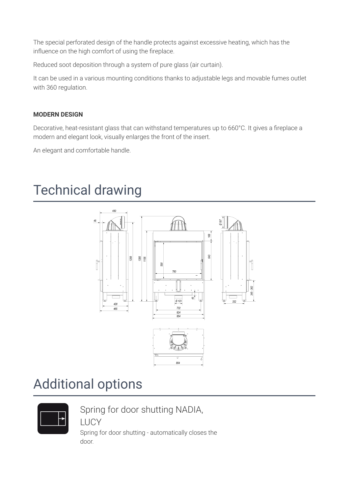The special perforated design of the handle protects against excessive heating, which has the influence on the high comfort of using the fireplace.

Reduced soot deposition through a system of pure glass (air curtain).

It can be used in a various mounting conditions thanks to adjustable legs and movable fumes outlet with 360 regulation.

#### **MODERN DESIGN**

Decorative, heat-resistant glass that can withstand temperatures up to 660°C. It gives a fireplace a modern and elegant look, visually enlarges the front of the insert.

An elegant and comfortable handle.

## **Technical drawing**



## **Additional options**



Spring for door shutting NADIA,

**LUCY** 

Spring for door shutting - automatically closes the door.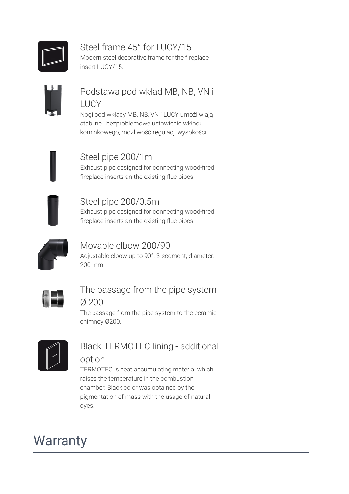

## Steel frame 45° for LUCY/15

Modern steel decorative frame for the fireplace insert LUCY/15.

## Podstawa pod wkład MB, NB, VN i **LUCY**

Nogi pod wkłady MB, NB, VN i LUCY umożliwiają stabilne i bezproblemowe ustawienie wkładu kominkowego, możliwość regulacji wysokości.

## Steel pipe 200/1m

Exhaust pipe designed for connecting wood-fired fireplace inserts an the existing flue pipes.



### Steel pipe 200/0.5m

Exhaust pipe designed for connecting wood-fired fireplace inserts an the existing flue pipes.



### Movable elbow 200/90

Adjustable elbow up to 90°, 3-segment, diameter: 200 mm



### The passage from the pipe system  $Q200$

The passage from the pipe system to the ceramic chimney Ø200.



## **Black TERMOTEC lining - additional**

#### option

TERMOTEC is heat accumulating material which raises the temperature in the combustion chamber. Black color was obtained by the pigmentation of mass with the usage of natural dyes.

# **Warranty**